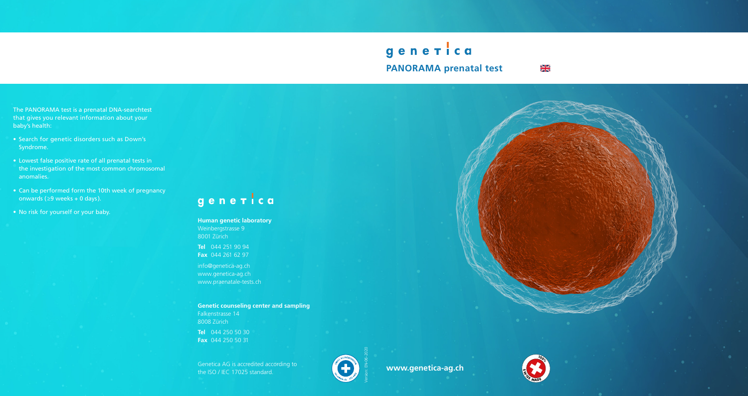# generica **PANORAMA prenatal test**

NK<br>AR

The PANORAMA test is a prenatal DNA-searchtest that gives you relevant information about your baby's health:

- Search for genetic disorders such as Down's Syndrome.
- Lowest false positive rate of all prenatal tests in the investigation of the most common chromosomal anomalies.
- Can be performed form the 10th week of pregnancy onwards (≥9 weeks + 0 days).
- No risk for yourself or your baby.

# gener ca

Genetica AG is accredited according to **h** $\frac{1}{2}$  **ISO** / **IEC** 17025 standard.

**Human genetic laboratory** Weinbergstrasse 9 8001 Zürich

**Tel** 044 251 90 94 **Fax** 044 261 62 97

info@genetica-ag.ch www.genetica-ag.ch www.praenatale-tests.ch

**Genetic counseling center and sampling** Falkenstrasse 14 8008 Zürich **Tel** 044 250 50 30

**Fax** 044 250 50 31





**www.genetica-ag.ch**